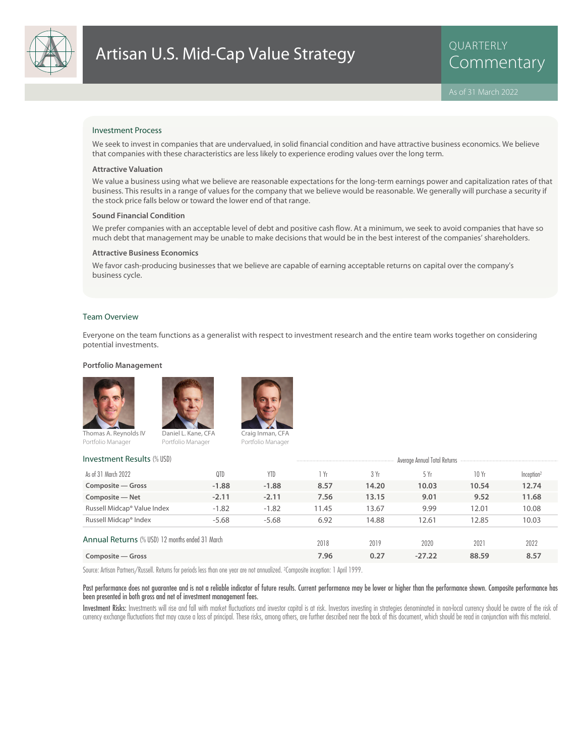

# Artisan U.S. Mid-Cap Value Strategy **Artisan U.S. Mid-Cap Value Strategy**

QUARTERLY

### Investment Process

We seek to invest in companies that are undervalued, in solid financial condition and have attractive business economics. We believe that companies with these characteristics are less likely to experience eroding values over the long term.

### **Attractive Valuation**

We value a business using what we believe are reasonable expectations for the long-term earnings power and capitalization rates of that business. This results in a range of values for the company that we believe would be reasonable. We generally will purchase a security if the stock price falls below or toward the lower end of that range.

### **Sound Financial Condition**

We prefer companies with an acceptable level of debt and positive cash flow. At a minimum, we seek to avoid companies that have so much debt that management may be unable to make decisions that would be in the best interest of the companies' shareholders.

### **Attractive Business Economics**

We favor cash-producing businesses that we believe are capable of earning acceptable returns on capital over the company's business cycle.

#### Team Overview

Everyone on the team functions as a generalist with respect to investment research and the entire team works together on considering potential investments.

### **Portfolio Management**





Portfolio Manager Portfolio Manager



Portfolio Manager

| <b>Investment Results (% USD)</b>               | Average Annual Total Returns |         |          |       |       |       |                        |
|-------------------------------------------------|------------------------------|---------|----------|-------|-------|-------|------------------------|
| As of 31 March 2022                             | 0TD                          | YTD     | Yr       | 3 Yr  | 5 Yr  | 10Yr  | Inception <sup>2</sup> |
| Composite - Gross                               | $-1.88$                      | $-1.88$ | 8.57     | 14.20 | 10.03 | 10.54 | 12.74                  |
| Composite - Net                                 | $-2.11$                      | $-2.11$ | 7.56     | 13.15 | 9.01  | 9.52  | 11.68                  |
| Russell Midcap® Value Index                     | $-1.82$                      | $-1.82$ | 11.45    | 13.67 | 9.99  | 12.01 | 10.08                  |
| Russell Midcap <sup>®</sup> Index               | $-5.68$                      | $-5.68$ | 6.92     | 14.88 | 12.61 | 12.85 | 10.03                  |
| Annual Returns (% USD) 12 months ended 31 March |                              |         | 2018     | 2019  | 2020  | 2021  | 2022                   |
| Composite - Gross                               | 7.96                         | 0.27    | $-27.22$ | 88.59 | 8.57  |       |                        |

Source: Artisan Partners/Russell. Returns for periods less than one year are not annualized. <sup>2</sup> Composite inception: 1 April 1999.

### Past performance does not guarantee and is not a reliable indicator of future results. Current performance may be lower or higher than the performance shown. Composite performance has been presented in both gross and net of investment management fees.

Investment Risks: Investments will rise and fall with market fluctuations and investor capital is at risk. Investors investing in strategies denominated in non-local currency should be aware of the risk of currency exchange fluctuations that may cause a loss of principal. These risks, among others, are further described near the back of this document, which should be read in conjunction with this material.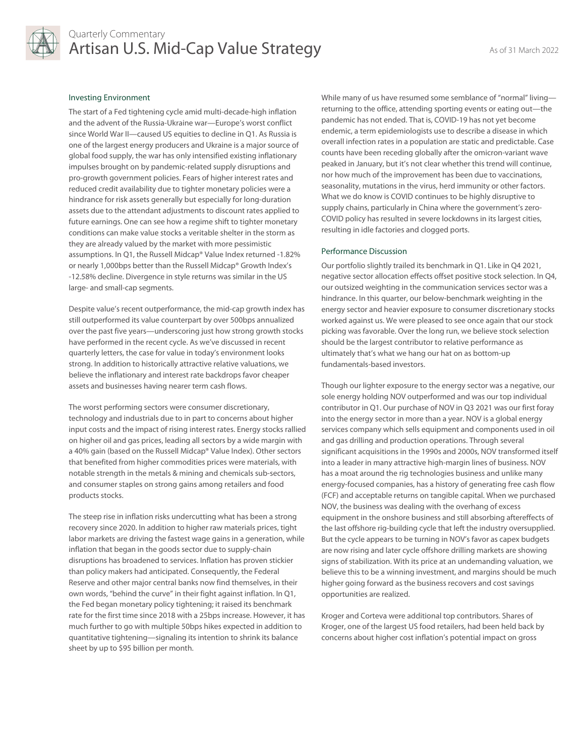

### Quarterly Commentary Artisan U.S. Mid-Cap Value Strategy As of 31 March 2022

### Investing Environment

The start of a Fed tightening cycle amid multi-decade-high inflation and the advent of the Russia-Ukraine war—Europe's worst conflict since World War II—caused US equities to decline in Q1. As Russia is one of the largest energy producers and Ukraine is a major source of global food supply, the war has only intensified existing inflationary impulses brought on by pandemic-related supply disruptions and pro-growth government policies. Fears of higher interest rates and reduced credit availability due to tighter monetary policies were a hindrance for risk assets generally but especially for long-duration assets due to the attendant adjustments to discount rates applied to future earnings. One can see how a regime shift to tighter monetary conditions can make value stocks a veritable shelter in the storm as they are already valued by the market with more pessimistic assumptions. In Q1, the Russell Midcap® Value Index returned -1.82% or nearly 1,000bps better than the Russell Midcap® Growth Index's -12.58% decline. Divergence in style returns was similar in the US large- and small-cap segments.

Despite value's recent outperformance, the mid-cap growth index has still outperformed its value counterpart by over 500bps annualized over the past five years—underscoring just how strong growth stocks have performed in the recent cycle. As we've discussed in recent quarterly letters, the case for value in today's environment looks strong. In addition to historically attractive relative valuations, we believe the inflationary and interest rate backdrops favor cheaper assets and businesses having nearer term cash flows.

The worst performing sectors were consumer discretionary, technology and industrials due to in part to concerns about higher input costs and the impact of rising interest rates. Energy stocks rallied on higher oil and gas prices, leading all sectors by a wide margin with a 40% gain (based on the Russell Midcap® Value Index). Other sectors that benefited from higher commodities prices were materials, with notable strength in the metals & mining and chemicals sub-sectors, and consumer staples on strong gains among retailers and food products stocks.

The steep rise in inflation risks undercutting what has been a strong recovery since 2020. In addition to higher raw materials prices, tight labor markets are driving the fastest wage gains in a generation, while inflation that began in the goods sector due to supply-chain disruptions has broadened to services. Inflation has proven stickier than policy makers had anticipated. Consequently, the Federal Reserve and other major central banks now find themselves, in their own words, "behind the curve" in their fight against inflation. In Q1, the Fed began monetary policy tightening; it raised its benchmark rate for the first time since 2018 with a 25bps increase. However, it has much further to go with multiple 50bps hikes expected in addition to quantitative tightening—signaling its intention to shrink its balance sheet by up to \$95 billion per month.

While many of us have resumed some semblance of "normal" living returning to the office, attending sporting events or eating out—the pandemic has not ended. That is, COVID-19 has not yet become endemic, a term epidemiologists use to describe a disease in which overall infection rates in a population are static and predictable. Case counts have been receding globally after the omicron-variant wave peaked in January, but it's not clear whether this trend will continue, nor how much of the improvement has been due to vaccinations, seasonality, mutations in the virus, herd immunity or other factors. What we do know is COVID continues to be highly disruptive to supply chains, particularly in China where the government's zero-COVID policy has resulted in severe lockdowns in its largest cities, resulting in idle factories and clogged ports.

### Performance Discussion

Our portfolio slightly trailed its benchmark in Q1. Like in Q4 2021, negative sector allocation effects offset positive stock selection. In Q4, our outsized weighting in the communication services sector was a hindrance. In this quarter, our below-benchmark weighting in the energy sector and heavier exposure to consumer discretionary stocks worked against us. We were pleased to see once again that our stock picking was favorable. Over the long run, we believe stock selection should be the largest contributor to relative performance as ultimately that's what we hang our hat on as bottom-up fundamentals-based investors.

Though our lighter exposure to the energy sector was a negative, our sole energy holding NOV outperformed and was our top individual contributor in Q1. Our purchase of NOV in Q3 2021 was our first foray into the energy sector in more than a year. NOV is a global energy services company which sells equipment and components used in oil and gas drilling and production operations. Through several significant acquisitions in the 1990s and 2000s, NOV transformed itself into a leader in many attractive high-margin lines of business. NOV has a moat around the rig technologies business and unlike many energy-focused companies, has a history of generating free cash flow (FCF) and acceptable returns on tangible capital. When we purchased NOV, the business was dealing with the overhang of excess equipment in the onshore business and still absorbing aftereffects of the last offshore rig-building cycle that left the industry oversupplied. But the cycle appears to be turning in NOV's favor as capex budgets are now rising and later cycle offshore drilling markets are showing signs of stabilization. With its price at an undemanding valuation, we believe this to be a winning investment, and margins should be much higher going forward as the business recovers and cost savings opportunities are realized.

Kroger and Corteva were additional top contributors. Shares of Kroger, one of the largest US food retailers, had been held back by concerns about higher cost inflation's potential impact on gross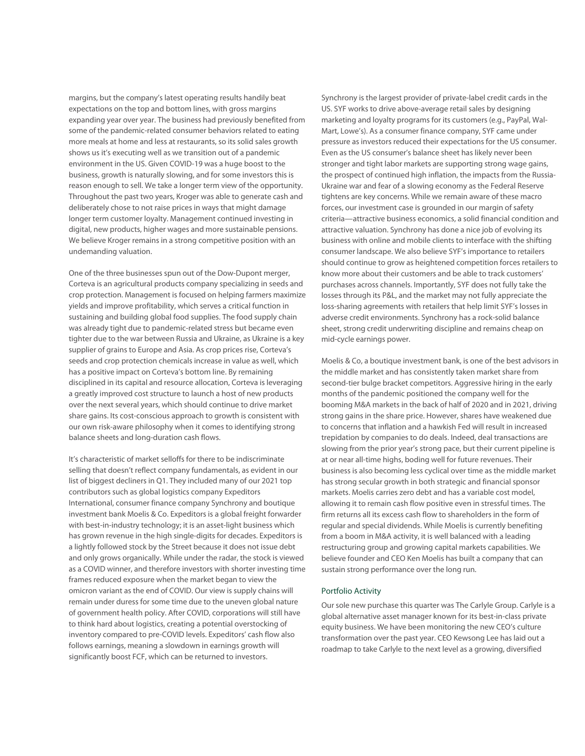margins, but the company's latest operating results handily beat expectations on the top and bottom lines, with gross margins expanding year over year. The business had previously benefited from some of the pandemic-related consumer behaviors related to eating more meals at home and less at restaurants, so its solid sales growth shows us it's executing well as we transition out of a pandemic environment in the US. Given COVID-19 was a huge boost to the business, growth is naturally slowing, and for some investors this is reason enough to sell. We take a longer term view of the opportunity. Throughout the past two years, Kroger was able to generate cash and deliberately chose to not raise prices in ways that might damage longer term customer loyalty. Management continued investing in digital, new products, higher wages and more sustainable pensions. We believe Kroger remains in a strong competitive position with an undemanding valuation.

One of the three businesses spun out of the Dow-Dupont merger, Corteva is an agricultural products company specializing in seeds and crop protection. Management is focused on helping farmers maximize yields and improve profitability, which serves a critical function in sustaining and building global food supplies. The food supply chain was already tight due to pandemic-related stress but became even tighter due to the war between Russia and Ukraine, as Ukraine is a key supplier of grains to Europe and Asia. As crop prices rise, Corteva's seeds and crop protection chemicals increase in value as well, which has a positive impact on Corteva's bottom line. By remaining disciplined in its capital and resource allocation, Corteva is leveraging a greatly improved cost structure to launch a host of new products over the next several years, which should continue to drive market share gains. Its cost-conscious approach to growth is consistent with our own risk-aware philosophy when it comes to identifying strong balance sheets and long-duration cash flows.

It's characteristic of market selloffs for there to be indiscriminate selling that doesn't reflect company fundamentals, as evident in our list of biggest decliners in Q1. They included many of our 2021 top contributors such as global logistics company Expeditors International, consumer finance company Synchrony and boutique investment bank Moelis & Co. Expeditors is a global freight forwarder with best-in-industry technology; it is an asset-light business which has grown revenue in the high single-digits for decades. Expeditors is a lightly followed stock by the Street because it does not issue debt and only grows organically. While under the radar, the stock is viewed as a COVID winner, and therefore investors with shorter investing time frames reduced exposure when the market began to view the omicron variant as the end of COVID. Our view is supply chains will remain under duress for some time due to the uneven global nature of government health policy. After COVID, corporations will still have to think hard about logistics, creating a potential overstocking of inventory compared to pre-COVID levels. Expeditors' cash flow also follows earnings, meaning a slowdown in earnings growth will significantly boost FCF, which can be returned to investors.

Synchrony is the largest provider of private-label credit cards in the US. SYF works to drive above-average retail sales by designing marketing and loyalty programs for its customers (e.g., PayPal, Wal-Mart, Lowe's). As a consumer finance company, SYF came under pressure as investors reduced their expectations for the US consumer. Even as the US consumer's balance sheet has likely never been stronger and tight labor markets are supporting strong wage gains, the prospect of continued high inflation, the impacts from the Russia-Ukraine war and fear of a slowing economy as the Federal Reserve tightens are key concerns. While we remain aware of these macro forces, our investment case is grounded in our margin of safety criteria—attractive business economics, a solid financial condition and attractive valuation. Synchrony has done a nice job of evolving its business with online and mobile clients to interface with the shifting consumer landscape. We also believe SYF's importance to retailers should continue to grow as heightened competition forces retailers to know more about their customers and be able to track customers' purchases across channels. Importantly, SYF does not fully take the losses through its P&L, and the market may not fully appreciate the loss-sharing agreements with retailers that help limit SYF's losses in adverse credit environments. Synchrony has a rock-solid balance sheet, strong credit underwriting discipline and remains cheap on mid-cycle earnings power.

Moelis & Co, a boutique investment bank, is one of the best advisors in the middle market and has consistently taken market share from second-tier bulge bracket competitors. Aggressive hiring in the early months of the pandemic positioned the company well for the booming M&A markets in the back of half of 2020 and in 2021, driving strong gains in the share price. However, shares have weakened due to concerns that inflation and a hawkish Fed will result in increased trepidation by companies to do deals. Indeed, deal transactions are slowing from the prior year's strong pace, but their current pipeline is at or near all-time highs, boding well for future revenues. Their business is also becoming less cyclical over time as the middle market has strong secular growth in both strategic and financial sponsor markets. Moelis carries zero debt and has a variable cost model, allowing it to remain cash flow positive even in stressful times. The firm returns all its excess cash flow to shareholders in the form of regular and special dividends. While Moelis is currently benefiting from a boom in M&A activity, it is well balanced with a leading restructuring group and growing capital markets capabilities. We believe founder and CEO Ken Moelis has built a company that can sustain strong performance over the long run.

### Portfolio Activity

Our sole new purchase this quarter was The Carlyle Group. Carlyle is a global alternative asset manager known for its best-in-class private equity business. We have been monitoring the new CEO's culture transformation over the past year. CEO Kewsong Lee has laid out a roadmap to take Carlyle to the next level as a growing, diversified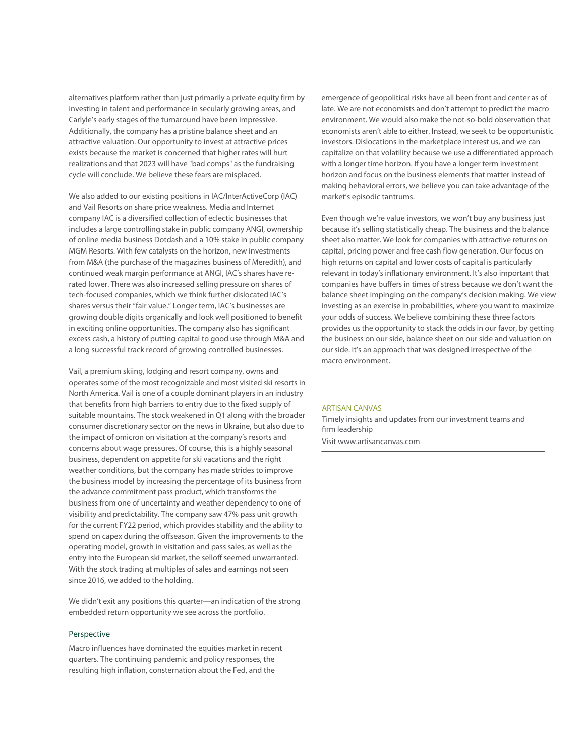alternatives platform rather than just primarily a private equity firm by investing in talent and performance in secularly growing areas, and Carlyle's early stages of the turnaround have been impressive. Additionally, the company has a pristine balance sheet and an attractive valuation. Our opportunity to invest at attractive prices exists because the market is concerned that higher rates will hurt realizations and that 2023 will have "bad comps" as the fundraising cycle will conclude. We believe these fears are misplaced.

We also added to our existing positions in IAC/InterActiveCorp (IAC) and Vail Resorts on share price weakness. Media and Internet company IAC is a diversified collection of eclectic businesses that includes a large controlling stake in public company ANGI, ownership of online media business Dotdash and a 10% stake in public company MGM Resorts. With few catalysts on the horizon, new investments from M&A (the purchase of the magazines business of Meredith), and continued weak margin performance at ANGI, IAC's shares have rerated lower. There was also increased selling pressure on shares of tech-focused companies, which we think further dislocated IAC's shares versus their "fair value." Longer term, IAC's businesses are growing double digits organically and look well positioned to benefit in exciting online opportunities. The company also has significant excess cash, a history of putting capital to good use through M&A and a long successful track record of growing controlled businesses.

Vail, a premium skiing, lodging and resort company, owns and operates some of the most recognizable and most visited ski resorts in North America. Vail is one of a couple dominant players in an industry that benefits from high barriers to entry due to the fixed supply of suitable mountains. The stock weakened in Q1 along with the broader consumer discretionary sector on the news in Ukraine, but also due to the impact of omicron on visitation at the company's resorts and concerns about wage pressures. Of course, this is a highly seasonal business, dependent on appetite for ski vacations and the right weather conditions, but the company has made strides to improve the business model by increasing the percentage of its business from the advance commitment pass product, which transforms the business from one of uncertainty and weather dependency to one of visibility and predictability. The company saw 47% pass unit growth for the current FY22 period, which provides stability and the ability to spend on capex during the offseason. Given the improvements to the operating model, growth in visitation and pass sales, as well as the entry into the European ski market, the selloff seemed unwarranted. With the stock trading at multiples of sales and earnings not seen since 2016, we added to the holding.

We didn't exit any positions this quarter—an indication of the strong embedded return opportunity we see across the portfolio.

### Perspective

Macro influences have dominated the equities market in recent quarters. The continuing pandemic and policy responses, the resulting high inflation, consternation about the Fed, and the

emergence of geopolitical risks have all been front and center as of late. We are not economists and don't attempt to predict the macro environment. We would also make the not-so-bold observation that economists aren't able to either. Instead, we seek to be opportunistic investors. Dislocations in the marketplace interest us, and we can capitalize on that volatility because we use a differentiated approach with a longer time horizon. If you have a longer term investment horizon and focus on the business elements that matter instead of making behavioral errors, we believe you can take advantage of the market's episodic tantrums.

Even though we're value investors, we won't buy any business just because it's selling statistically cheap. The business and the balance sheet also matter. We look for companies with attractive returns on capital, pricing power and free cash flow generation. Our focus on high returns on capital and lower costs of capital is particularly relevant in today's inflationary environment. It's also important that companies have buffers in times of stress because we don't want the balance sheet impinging on the company's decision making. We view investing as an exercise in probabilities, where you want to maximize your odds of success. We believe combining these three factors provides us the opportunity to stack the odds in our favor, by getting the business on our side, balance sheet on our side and valuation on our side. It's an approach that was designed irrespective of the macro environment.

### ARTISAN CANVAS

Timely insights and updates from our investment teams and firm leadership

Visit www.artisancanvas.com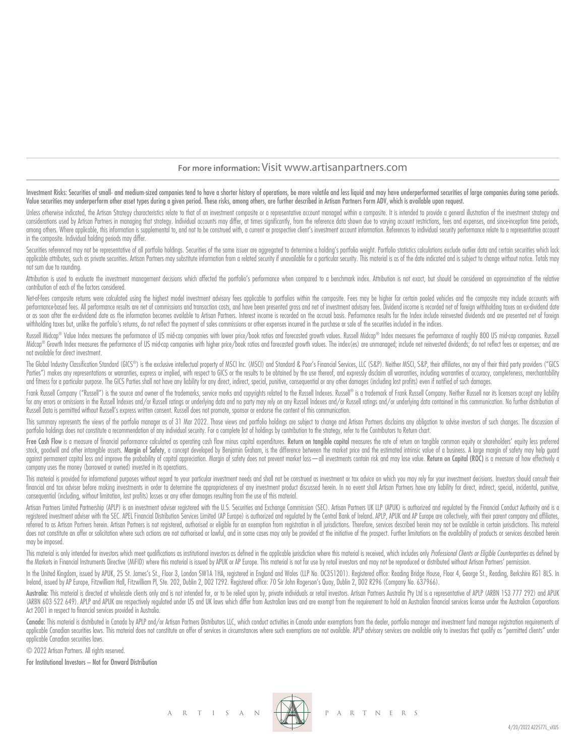### **For more information:** Visit www.artisanpartners.com

Investment Risks: Securities of small- and medium-sized companies tend to have a shorter history of operations, be more volatile and less liquid and may have underperformed securities of large companies during some periods Value securities may underperform other asset types during a given period. These risks, among others, are further described in Artisan Partners Form ADV, which is available upon request.

Unless otherwise indicated. the Artisan Strateav characteristics relate to that of an investment composite or a representative account managed within a composite. It is intended to provide a general illustration of the inv considerations used by Artisan Partners in managing that strategy. Individual accounts may differ, at times significantly, from the reference data shown due to varying account restrictions, fees and expenses, and since inc among others. Where applicable, this information is supplemental to, and not to be construed with, a current or prospective client's investment account information. References to individual security performance relate to a in the composite. Individual holding periods may differ.

Securities referenced may not be representative of all portfolio holdings. Securities of the same issuer are aggregated to determine a holding's portfolio weight. Portfolio statistics calculations exclude outlier data and applicable attributes, such as private securities. Artisan Partners may substitute information from a related security if unavailable for a particular security. This material is as of the date indicated and is subject to c not sum due to rounding.

Attribution is used to evaluate the investment management decisions which affected the portfolio's performance when compared to a benchmark index. Attribution is not exact, but should be considered an approximation of the contribution of each of the factors considered.

Net-of-fees composite returns were calculated using the highest model investment advisory fees applicable to portfolios within the composite. Fees may be higher for certain pooled vehicles and the composite may include acc performance-based fees. All performance results are net of commissions and transaction costs, and have been presented gross and net of investment advisory fees. Dividend income is recorded net of foreign withholding taxes or as soon after the ex-dividend date as the information becomes available to Artisan Partners. Interest income is recorded on the accrual basis. Performance results for the Index include reinvested dividends and are prese withholding taxes but, unlike the portfolio's returns, do not reflect the payment of sales commissions or other expenses incurred in the purchase or sale of the securities included in the indices.

Russell Midcap® Value Index measures the performance of US mid-cap companies with lower price/book ratios and forecasted growth values. Russell Midcap® Index measures the performance of roughly 800 US mid-cap companies. Ru Midcap® Growth Index measures the performance of US mid-cap companies with higher price/book ratios and forecasted growth values. The index(es) are unmanaged; include net reinvested dividends; do not reflect fees or expens not available for direct investment.

The Global Industry Classification Standard (GICS®) is the exclusive intellectual property of MSCI Inc. (MSCI) and Standard & Poor's Financial Services, LLC (S&P). Neither MSCI, S&P, their affiliates, nor any of their thir Parties") makes any representations or warranties, express or implied, with respect to GICS or the results to be obtained by the use thereof, and expressly disclaim all warranties, including warranties of accuracy, complet and fitness for a particular purpose. The GICS Parties shall not have any liability for any direct, indirect, special, punitive, consequential or any other damages (including lost profits) even if notified of such damages.

Frank Russell Company ("Russell") is the source and owner of the trademarks, service marks and copyrights related to the Russell Indexes. Russell® is a trademark of Frank Russell Company. Neither Russell nor its licensors for any errors or omissions in the Russell Indexes and/or Russell ratings or underlying data and no party may rely on any Russell Indexes and/or Russell ratings and/or auderlying data contained in this communication. No fu Russell Data is permitted without Russell's express written consent. Russell does not promote, sponsor or endorse the content of this communication.

This summary represents the views of the portfolio manager as of 31 Mar 2022. Those views and portfolio holdings are subject to change and Artisan Partners disclaims any obligation to advise investors of such changes. The portfolio holdings does not constitute a recommendation of any individual security. For a complete list of holdings by contribution to the strategy, refer to the Contributors to Return chart.

Free Cash Flow is a measure of financial performance calculated as operating cash flow minus capital expenditures. Return on tangible capital measures the rate of return on tangible common equity or shareholders' equity le stock, goodwill and other intangible assets. Margin of Safety, a concept developed by Benjamin Graham, is the difference between the market price and the estimated intrinsic value of a business. A large margin of safety ma against permanent capital loss and improve the probability of capital appreciation. Margin of safety does not prevent market loss—all investments contain risk and may lose value. Return on Capital (ROC) is a measure of how company uses the money (borrowed or owned) invested in its operations.

This material is provided for informational purposes without regard to your particular investment needs and shall not be construed as investment or tax advice on which you may rely for your investment decisions. Investors financial and tax adviser before making investments in order to determine the appropriateness of any investment product discussed herein. In no event shall Artisan Partners have any liability for direct, indirect, special, consequential (including, without limitation, lost profits) losses or any other damages resulting from the use of this material.

Artisan Partners Limited Partnership (APLP) is an investment adviser registered with the U.S. Securities and Exchange Commission (SEC). Artisan Partners UK LLP (APUK) is authorized and regulated by the Financial Conduct Au registered investment adviser with the SEC. APEL Financial Distribution Services Limited (AP Europe) is authorized and regulated by the Central Bank of Ireland. APLP, APUK and AP Europe are collectively, with their parent referred to as Artisan Partners herein. Artisan Partners is not registered, authorised or eligible for an exemption from registration in all jurisdictions. Therefore, services described herein may not be available in certa does not constitute an offer or solicitation where such actions are not authorised or lawful, and in some cases may only be provided at the initiative of the prospect. Further limitations on the availability of products or may be imposed.

This material is only intended for investors which meet qualifications as institutional investors as defined in the applicable jurisdiction where this material is received, which includes only Professional Clients or Eligi the Markets in Financial Instruments Directive (MiFID) where this material is issued by APUK or AP Europe. This material is not for use by retail investors and may not be reproduced or distributed without Artisan Partners'

In the United Kingdom, issued by APUK, 25 St. James's St., Floor 3, London SW1A 1HA, registered in England and Wales (LLP No. OC351201). Registered office: Reading Bridge House, Floor 4, George St., Reading, Berkshire RG1 Ireland, issued by AP Europe, Fitzwilliam Hall, Fitzwilliam Pl, Ste. 202, Dublin 2, D02 T292. Registered office: 70 Sir John Rogerson's Quay, Dublin 2, D02 R296 (Company No. 637966).

Australia: This material is directed at wholesale clients only and is not intended for, or to be relied upon by, private individuals or retail investors. Artisan Partnes Australia Pty Ltd is a representative of APLP (ARBN (ARBN 603 522 649). APLP and APUK are respectively regulated under US and UK laws which differ from Australian laws and are exempt from the requirement to hold an Australian financial services license under the Australian Act 2001 in respect to financial services provided in Australia.

Canada: This material is distributed in Canada by APLP and/or Artisan Partners Distributors LLC, which conduct activities in Canada under exemptions from the dealer, portfolio manager and investment fund manager registrati applicable Canadian securities laws. This material does not constitute an offer of services in circumstances where such exemptions are not available. APLP advisory services are available only to investors that quality as " applicable Canadian securities laws.

© 2022 Artisan Partners. All rights reserved.

For Institutional Investors – Not for Onward Distribution